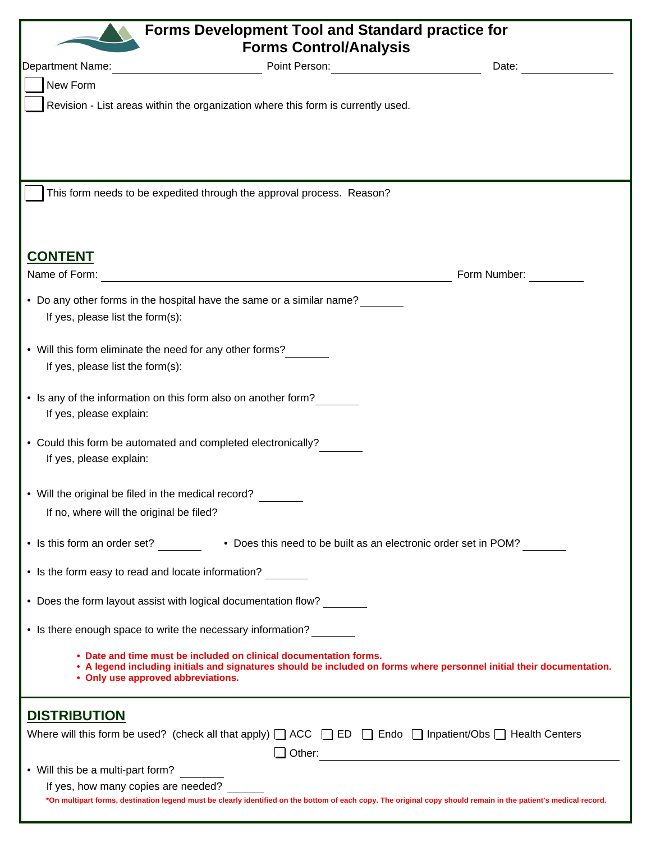| <b>Forms Development Tool and Standard practice for</b>                                                                                                                                                                          |                                                        |  |  |
|----------------------------------------------------------------------------------------------------------------------------------------------------------------------------------------------------------------------------------|--------------------------------------------------------|--|--|
| <b>Forms Control/Analysis</b>                                                                                                                                                                                                    |                                                        |  |  |
| <b>Department Name:</b>                                                                                                                                                                                                          | Point Person: <u>________________________</u><br>Date: |  |  |
| New Form                                                                                                                                                                                                                         |                                                        |  |  |
| Revision - List areas within the organization where this form is currently used.                                                                                                                                                 |                                                        |  |  |
|                                                                                                                                                                                                                                  |                                                        |  |  |
|                                                                                                                                                                                                                                  |                                                        |  |  |
| This form needs to be expedited through the approval process. Reason?                                                                                                                                                            |                                                        |  |  |
| <b>CONTENT</b>                                                                                                                                                                                                                   |                                                        |  |  |
| Name of Form:                                                                                                                                                                                                                    | Form Number:                                           |  |  |
| • Do any other forms in the hospital have the same or a similar name?<br>If yes, please list the form(s):                                                                                                                        |                                                        |  |  |
| • Will this form eliminate the need for any other forms?                                                                                                                                                                         |                                                        |  |  |
| If yes, please list the form(s):                                                                                                                                                                                                 |                                                        |  |  |
| • Is any of the information on this form also on another form?<br>If yes, please explain:                                                                                                                                        |                                                        |  |  |
| • Could this form be automated and completed electronically?<br>If yes, please explain:                                                                                                                                          |                                                        |  |  |
| • Will the original be filed in the medical record?                                                                                                                                                                              |                                                        |  |  |
| If no, where will the original be filed?                                                                                                                                                                                         |                                                        |  |  |
| • Is this form an order set? _________ • Does this need to be built as an electronic order set in POM?                                                                                                                           |                                                        |  |  |
| • Is the form easy to read and locate information?                                                                                                                                                                               |                                                        |  |  |
| • Does the form layout assist with logical documentation flow?                                                                                                                                                                   |                                                        |  |  |
| • Is there enough space to write the necessary information?                                                                                                                                                                      |                                                        |  |  |
| • Date and time must be included on clinical documentation forms.<br>• A legend including initials and signatures should be included on forms where personnel initial their documentation.<br>• Only use approved abbreviations. |                                                        |  |  |
| <b>DISTRIBUTION</b>                                                                                                                                                                                                              |                                                        |  |  |
| Where will this form be used? (check all that apply) $\Box$ ACC $\Box$ ED $\Box$ Endo $\Box$ Inpatient/Obs $\Box$ Health Centers                                                                                                 |                                                        |  |  |
| • Will this be a multi-part form?                                                                                                                                                                                                |                                                        |  |  |
| If yes, how many copies are needed?                                                                                                                                                                                              |                                                        |  |  |
| *On multipart forms, destination legend must be clearly identified on the bottom of each copy. The original copy should remain in the patient's medical record.                                                                  |                                                        |  |  |